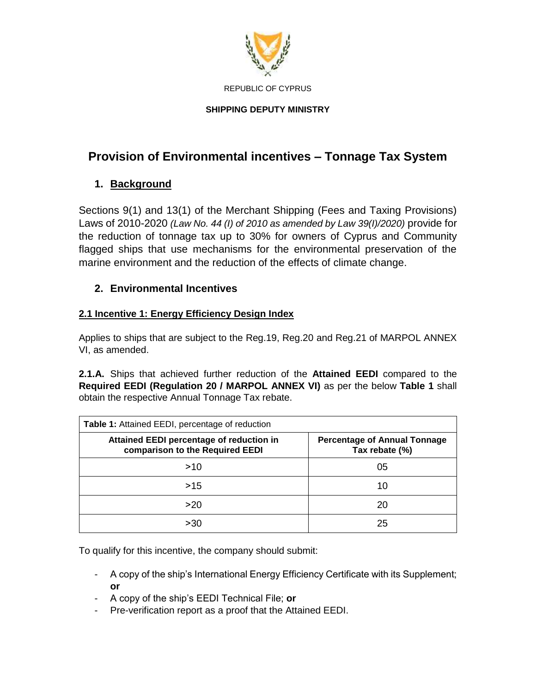

# **SHIPPING DEPUTY MINISTRY**

# **Provision of Environmental incentives – Tonnage Tax System**

# **1. Background**

Sections 9(1) and 13(1) of the Merchant Shipping (Fees and Taxing Provisions) Laws of 2010-2020 *(Law No. 44 (I) of 2010 as amended by Law 39(I)/2020)* provide for the reduction of tonnage tax up to 30% for owners of Cyprus and Community flagged ships that use mechanisms for the environmental preservation of the marine environment and the reduction of the effects of climate change.

# **2. Environmental Incentives**

# **2.1 Incentive 1: Energy Efficiency Design Index**

Applies to ships that are subject to the Reg.19, Reg.20 and Reg.21 of MARPOL ANNEX VI, as amended.

**2.1.A.** Ships that achieved further reduction of the **Attained EEDI** compared to the **Required EEDI (Regulation 20 / MARPOL ANNEX VI)** as per the below **Table 1** shall obtain the respective Annual Tonnage Tax rebate.

| <b>Table 1:</b> Attained EEDI, percentage of reduction                      |                                                       |
|-----------------------------------------------------------------------------|-------------------------------------------------------|
| Attained EEDI percentage of reduction in<br>comparison to the Required EEDI | <b>Percentage of Annual Tonnage</b><br>Tax rebate (%) |
| >10                                                                         | 05                                                    |
| >15                                                                         | 10                                                    |
| >20                                                                         | 20                                                    |
| >30                                                                         | 25                                                    |

To qualify for this incentive, the company should submit:

- A copy of the ship's International Energy Efficiency Certificate with its Supplement; **or**
- A copy of the ship's EEDI Technical File; **or**
- Pre-verification report as a proof that the Attained EEDI.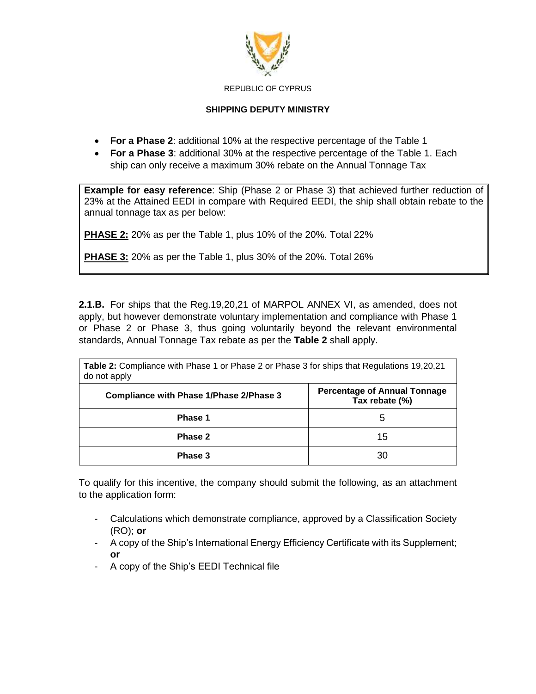

### **SHIPPING DEPUTY MINISTRY**

- **For a Phase 2**: additional 10% at the respective percentage of the Table 1
- **For a Phase 3**: additional 30% at the respective percentage of the Table 1. Each ship can only receive a maximum 30% rebate on the Annual Tonnage Tax

**Example for easy reference**: Ship (Phase 2 or Phase 3) that achieved further reduction of 23% at the Attained EEDI in compare with Required EEDI, the ship shall obtain rebate to the annual tonnage tax as per below:

**PHASE 2:** 20% as per the Table 1, plus 10% of the 20%. Total 22%

**PHASE 3:** 20% as per the Table 1, plus 30% of the 20%. Total 26%

**2.1.B.** For ships that the Reg.19,20,21 of MARPOL ANNEX VI, as amended, does not apply, but however demonstrate voluntary implementation and compliance with Phase 1 or Phase 2 or Phase 3, thus going voluntarily beyond the relevant environmental standards, Annual Tonnage Tax rebate as per the **Table 2** shall apply.

| <b>Table 2:</b> Compliance with Phase 1 or Phase 2 or Phase 3 for ships that Regulations 19,20,21<br>do not apply |                                                       |
|-------------------------------------------------------------------------------------------------------------------|-------------------------------------------------------|
| <b>Compliance with Phase 1/Phase 2/Phase 3</b>                                                                    | <b>Percentage of Annual Tonnage</b><br>Tax rebate (%) |
| Phase 1                                                                                                           | 5                                                     |
| Phase 2                                                                                                           | 15                                                    |
| Phase 3                                                                                                           | 30                                                    |

To qualify for this incentive, the company should submit the following, as an attachment to the application form:

- Calculations which demonstrate compliance, approved by a Classification Society (RO); **or**
- A copy of the Ship's International Energy Efficiency Certificate with its Supplement; **or**
- A copy of the Ship's EEDI Technical file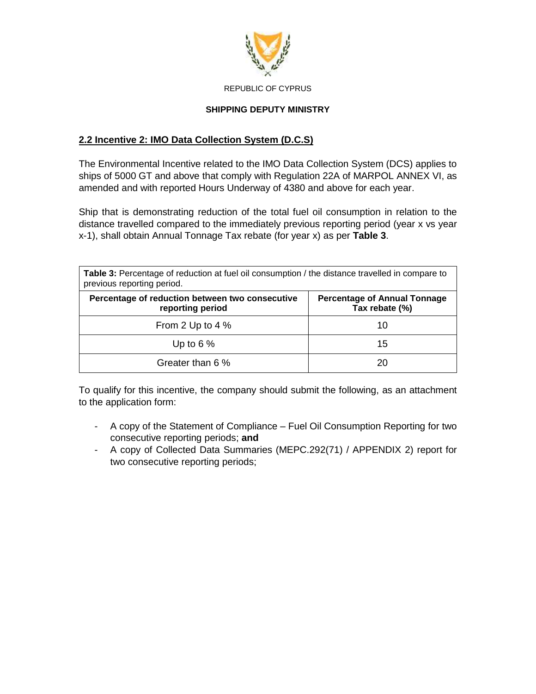

### **SHIPPING DEPUTY MINISTRY**

# **2.2 Incentive 2: IMO Data Collection System (D.C.S)**

The Environmental Incentive related to the IMO Data Collection System (DCS) applies to ships of 5000 GT and above that comply with Regulation 22A of MARPOL ANNEX VI, as amended and with reported Hours Underway of 4380 and above for each year.

Ship that is demonstrating reduction of the total fuel oil consumption in relation to the distance travelled compared to the immediately previous reporting period (year x vs year x-1), shall obtain Annual Tonnage Tax rebate (for year x) as per **Table 3**.

| Table 3: Percentage of reduction at fuel oil consumption / the distance travelled in compare to<br>previous reporting period. |                                                       |  |
|-------------------------------------------------------------------------------------------------------------------------------|-------------------------------------------------------|--|
| Percentage of reduction between two consecutive<br>reporting period                                                           | <b>Percentage of Annual Tonnage</b><br>Tax rebate (%) |  |
| From 2 Up to 4 %                                                                                                              | 10                                                    |  |
| Up to $6\%$                                                                                                                   | 15                                                    |  |
| Greater than 6 %                                                                                                              | 20                                                    |  |

To qualify for this incentive, the company should submit the following, as an attachment to the application form:

- A copy of the Statement of Compliance Fuel Oil Consumption Reporting for two consecutive reporting periods; **and**
- A copy of Collected Data Summaries (MEPC.292(71) / APPENDIX 2) report for two consecutive reporting periods;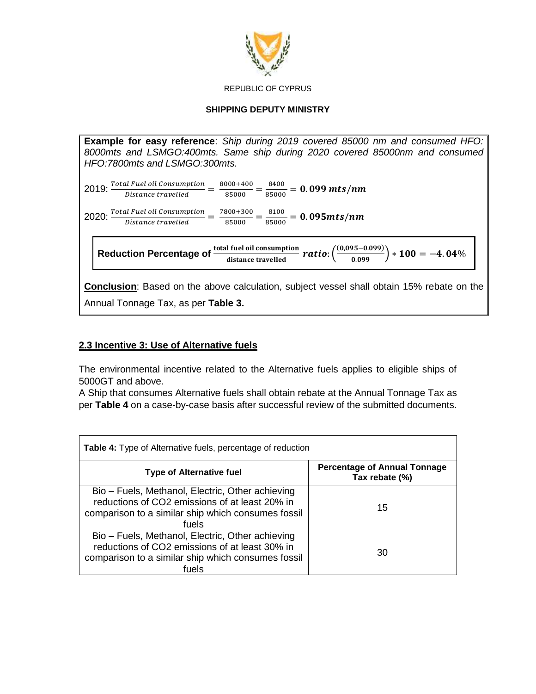

#### **SHIPPING DEPUTY MINISTRY**

**Example for easy reference**: *Ship during 2019 covered 85000 nm and consumed HFO: 8000mts and LSMGO:400mts. Same ship during 2020 covered 85000nm and consumed HFO:7800mts and LSMGO:300mts.*

 $2019$ :  $\frac{Total\,Full\, oil\, consumption}{Distance\, travelled} = \frac{8000+400}{85000}$  $\frac{100+400}{85000} = \frac{8400}{85000}$  $\frac{8400}{85000}$  = 0.099 mts/nm

 $2020$ :  $\frac{Total\,Full\, oil\, consumption}{Distance\, travelled} = \frac{7800+300}{85000}$  $\frac{300+300}{85000} = \frac{8100}{85000}$  $\frac{0.000}{85000}$  = 0.095mts/nm

Reduction Percentage of  $\frac{\text{total fuel oil consumption}}{\text{distance travelled}}$   $ratio: (\frac{(0.095 - 0.099)}{0.099}) * 100 = -4.04\%$ 

**Conclusion**: Based on the above calculation, subject vessel shall obtain 15% rebate on the Annual Tonnage Tax, as per **Table 3.**

### **2.3 Incentive 3: Use of Alternative fuels**

The environmental incentive related to the Alternative fuels applies to eligible ships of 5000GT and above.

A Ship that consumes Alternative fuels shall obtain rebate at the Annual Tonnage Tax as per **Table 4** on a case-by-case basis after successful review of the submitted documents.

| <b>Table 4:</b> Type of Alternative fuels, percentage of reduction                                                                                                |                                                |  |
|-------------------------------------------------------------------------------------------------------------------------------------------------------------------|------------------------------------------------|--|
| <b>Type of Alternative fuel</b>                                                                                                                                   | Percentage of Annual Tonnage<br>Tax rebate (%) |  |
| Bio – Fuels, Methanol, Electric, Other achieving<br>reductions of CO2 emissions of at least 20% in<br>comparison to a similar ship which consumes fossil<br>fuels | 15                                             |  |
| Bio - Fuels, Methanol, Electric, Other achieving<br>reductions of CO2 emissions of at least 30% in<br>comparison to a similar ship which consumes fossil<br>fuels | 30                                             |  |